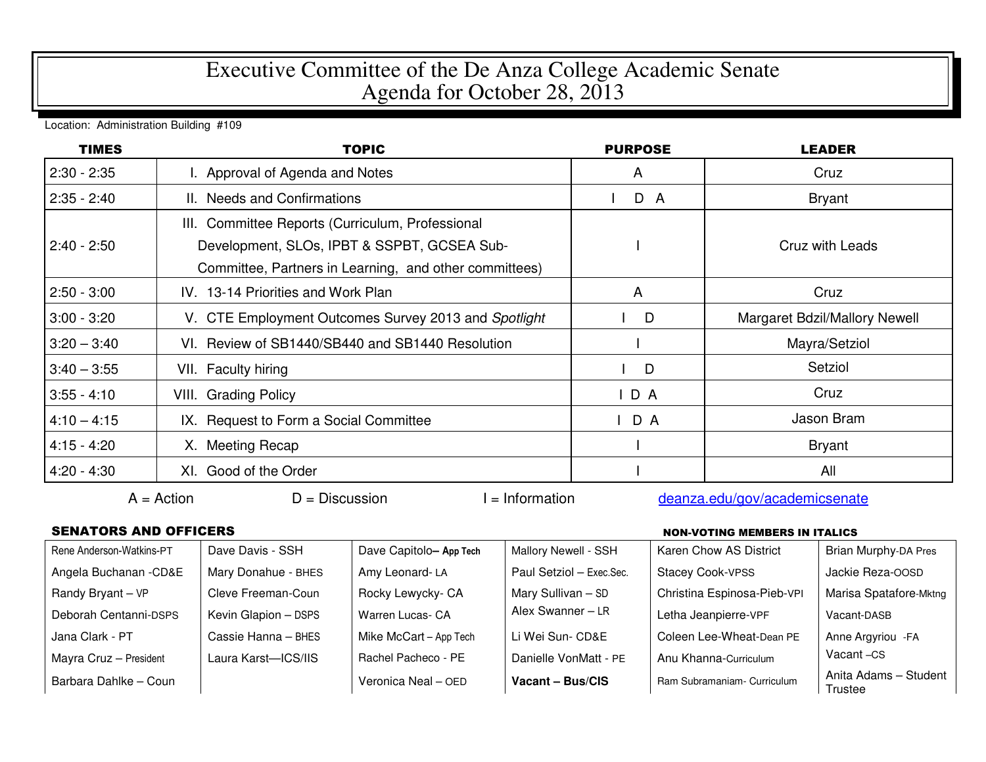## Executive Committee of the De Anza College Academic Senate Agenda for October 28, 2013

Location: Administration Building #109

| <b>TIMES</b>  | <b>TOPIC</b>                                                                                                                                              | <b>PURPOSE</b> | <b>LEADER</b>                 |
|---------------|-----------------------------------------------------------------------------------------------------------------------------------------------------------|----------------|-------------------------------|
| $2:30 - 2:35$ | I. Approval of Agenda and Notes                                                                                                                           | A              | Cruz                          |
| $2:35 - 2:40$ | II. Needs and Confirmations                                                                                                                               | D A            | <b>Bryant</b>                 |
| $2:40 - 2:50$ | III. Committee Reports (Curriculum, Professional<br>Development, SLOs, IPBT & SSPBT, GCSEA Sub-<br>Committee, Partners in Learning, and other committees) |                | Cruz with Leads               |
| $2:50 - 3:00$ | IV. 13-14 Priorities and Work Plan                                                                                                                        | A              | Cruz                          |
| $3:00 - 3:20$ | V. CTE Employment Outcomes Survey 2013 and Spotlight                                                                                                      | D              | Margaret Bdzil/Mallory Newell |
| $3:20 - 3:40$ | VI. Review of SB1440/SB440 and SB1440 Resolution                                                                                                          |                | Mayra/Setziol                 |
| $3:40 - 3:55$ | VII. Faculty hiring                                                                                                                                       | D              | Setziol                       |
| $3:55 - 4:10$ | <b>VIII.</b> Grading Policy                                                                                                                               | $I$ D A        | Cruz                          |
| $4:10 - 4:15$ | IX. Request to Form a Social Committee                                                                                                                    | $I$ D A        | Jason Bram                    |
| $4:15 - 4:20$ | X. Meeting Recap                                                                                                                                          |                | Bryant                        |
| $4:20 - 4:30$ | XI. Good of the Order                                                                                                                                     |                | All                           |

 $A =$ Action  $D =$  Discussion I = Information deanza.edu/gov/academicsenate

## SENATORS AND OFFICERS NON-VOTING MEMBERS IN ITALICS

| Rene Anderson-Watkins-PT | Dave Davis - SSH     | Dave Capitolo-App Tech | Mallory Newell - SSH     | Karen Chow AS District      | <b>Brian Murphy-DA Pres</b>      |
|--------------------------|----------------------|------------------------|--------------------------|-----------------------------|----------------------------------|
| Angela Buchanan - CD&E   | Mary Donahue - BHES  | Amy Leonard-LA         | Paul Setziol - Exec.Sec. | <b>Stacey Cook-VPSS</b>     | Jackie Reza-OOSD                 |
| Randy Bryant - VP        | Cleve Freeman-Coun   | Rocky Lewycky- CA      | Mary Sullivan - SD       | Christina Espinosa-Pieb-VPI | Marisa Spatafore-Mktng           |
| Deborah Centanni-DSPS    | Kevin Glapion - DSPS | Warren Lucas- CA       | Alex Swanner - LR        | Letha Jeanpierre-VPF        | Vacant-DASB                      |
| Jana Clark - PT          | Cassie Hanna - BHES  | Mike McCart - App Tech | Li Wei Sun- CD&E         | Coleen Lee-Wheat-Dean PE    | Anne Argyriou - FA               |
| Mayra Cruz - President   | Laura Karst-ICS/IIS  | Rachel Pacheco - PE    | Danielle VonMatt - PE    | Anu Khanna-Curriculum       | Vacant-CS                        |
| Barbara Dahlke - Coun    |                      | Veronica Neal - OED    | Vacant - Bus/CIS         | Ram Subramaniam- Curriculum | Anita Adams - Student<br>Trustee |